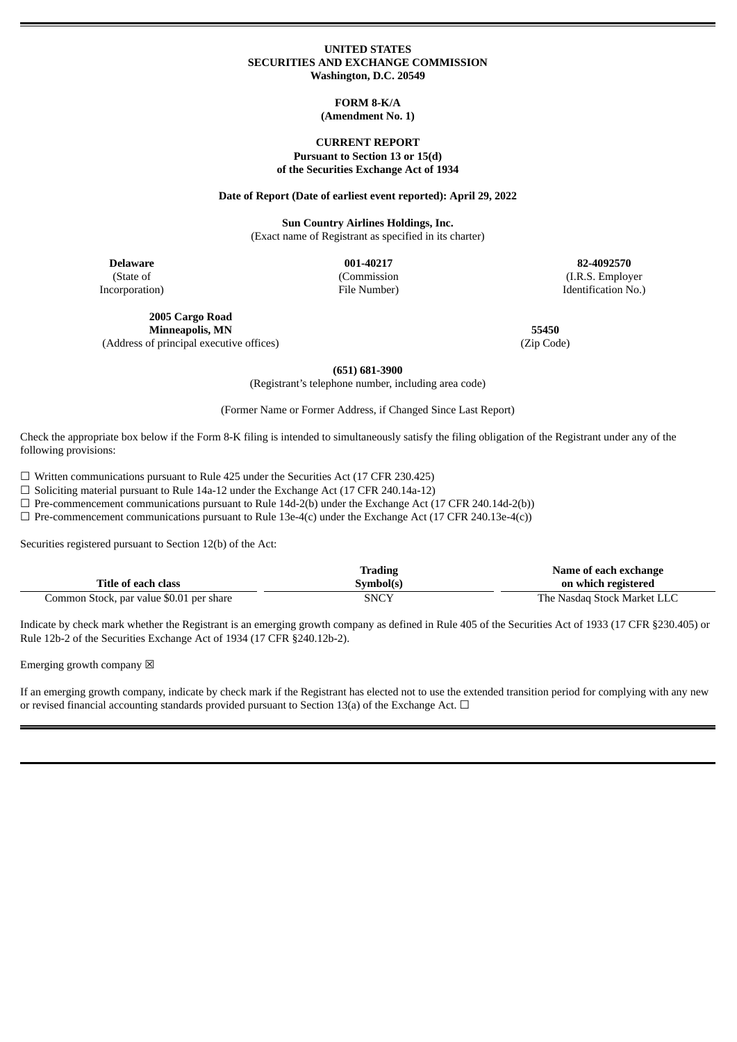#### **UNITED STATES SECURITIES AND EXCHANGE COMMISSION Washington, D.C. 20549**

#### **FORM 8-K/A (Amendment No. 1)**

### **CURRENT REPORT Pursuant to Section 13 or 15(d) of the Securities Exchange Act of 1934**

**Date of Report (Date of earliest event reported): April 29, 2022**

**Sun Country Airlines Holdings, Inc.** (Exact name of Registrant as specified in its charter)

> (Commission File Number)

**Delaware 001-40217 82-4092570** (State of Incorporation)

**2005 Cargo Road Minneapolis, MN 55450**

(Address of principal executive offices) (Zip Code)

(I.R.S. Employer Identification No.)

**(651) 681-3900**

(Registrant's telephone number, including area code)

(Former Name or Former Address, if Changed Since Last Report)

Check the appropriate box below if the Form 8-K filing is intended to simultaneously satisfy the filing obligation of the Registrant under any of the following provisions:

☐ Written communications pursuant to Rule 425 under the Securities Act (17 CFR 230.425)

 $\Box$  Soliciting material pursuant to Rule 14a-12 under the Exchange Act (17 CFR 240.14a-12)

 $\Box$  Pre-commencement communications pursuant to Rule 14d-2(b) under the Exchange Act (17 CFR 240.14d-2(b))

 $\Box$  Pre-commencement communications pursuant to Rule 13e-4(c) under the Exchange Act (17 CFR 240.13e-4(c))

Securities registered pursuant to Section 12(b) of the Act:

|                                          | Trading   | Name of each exchange       |
|------------------------------------------|-----------|-----------------------------|
| Title of each class                      | Symbol(s) | on which registered         |
| Common Stock, par value \$0.01 per share | SNCY      | The Nasdag Stock Market LLC |

Indicate by check mark whether the Registrant is an emerging growth company as defined in Rule 405 of the Securities Act of 1933 (17 CFR §230.405) or Rule 12b-2 of the Securities Exchange Act of 1934 (17 CFR §240.12b-2).

Emerging growth company  $\boxtimes$ 

If an emerging growth company, indicate by check mark if the Registrant has elected not to use the extended transition period for complying with any new or revised financial accounting standards provided pursuant to Section 13(a) of the Exchange Act.  $\Box$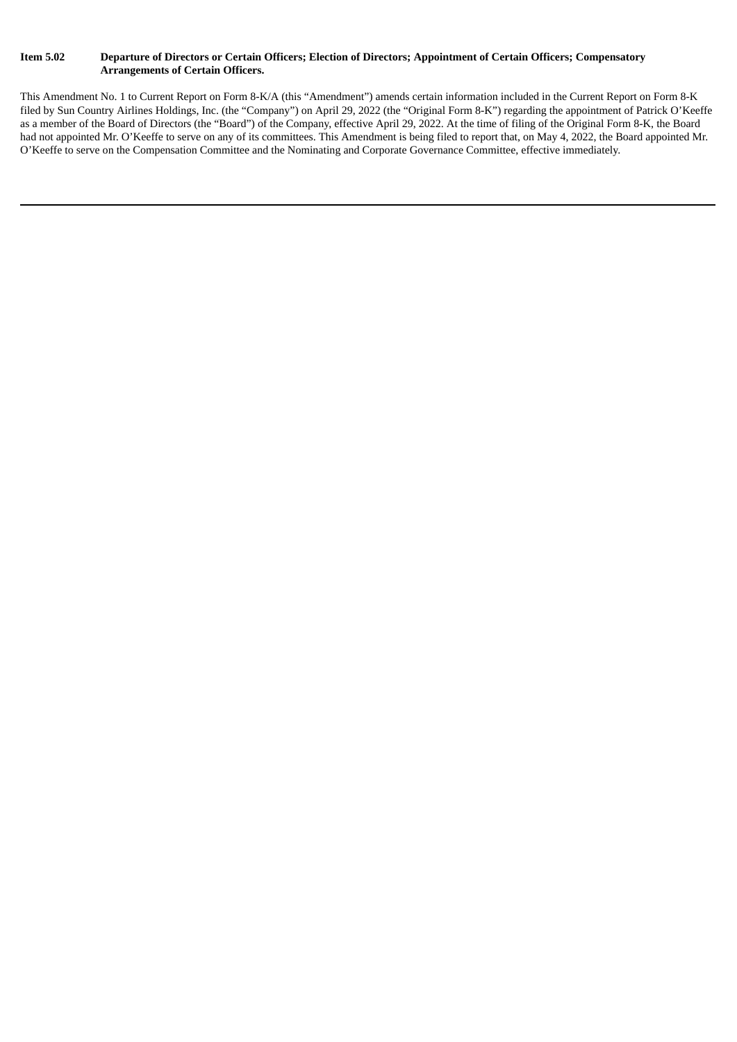## Item 5.02 Departure of Directors or Certain Officers; Election of Directors; Appointment of Certain Officers; Compensatory **Arrangements of Certain Officers.**

This Amendment No. 1 to Current Report on Form 8-K/A (this "Amendment") amends certain information included in the Current Report on Form 8-K filed by Sun Country Airlines Holdings, Inc. (the "Company") on April 29, 2022 (the "Original Form 8-K") regarding the appointment of Patrick O'Keeffe as a member of the Board of Directors (the "Board") of the Company, effective April 29, 2022. At the time of filing of the Original Form 8-K, the Board had not appointed Mr. O'Keeffe to serve on any of its committees. This Amendment is being filed to report that, on May 4, 2022, the Board appointed Mr. O'Keeffe to serve on the Compensation Committee and the Nominating and Corporate Governance Committee, effective immediately.